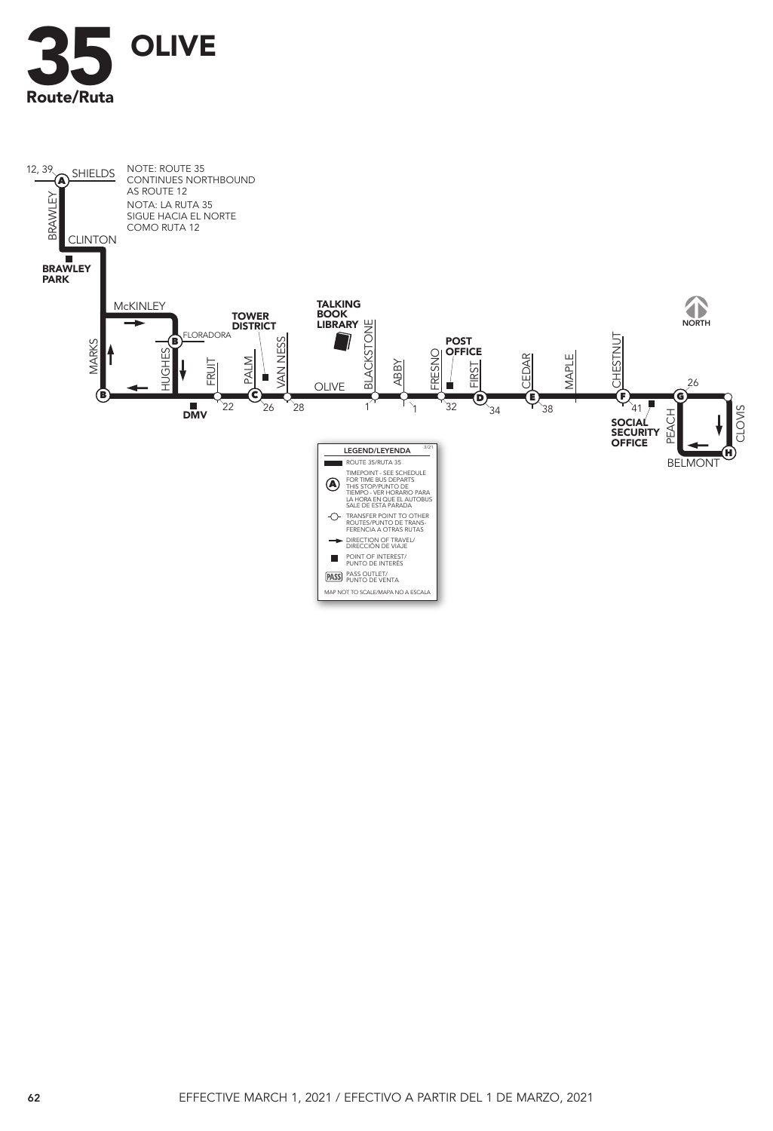

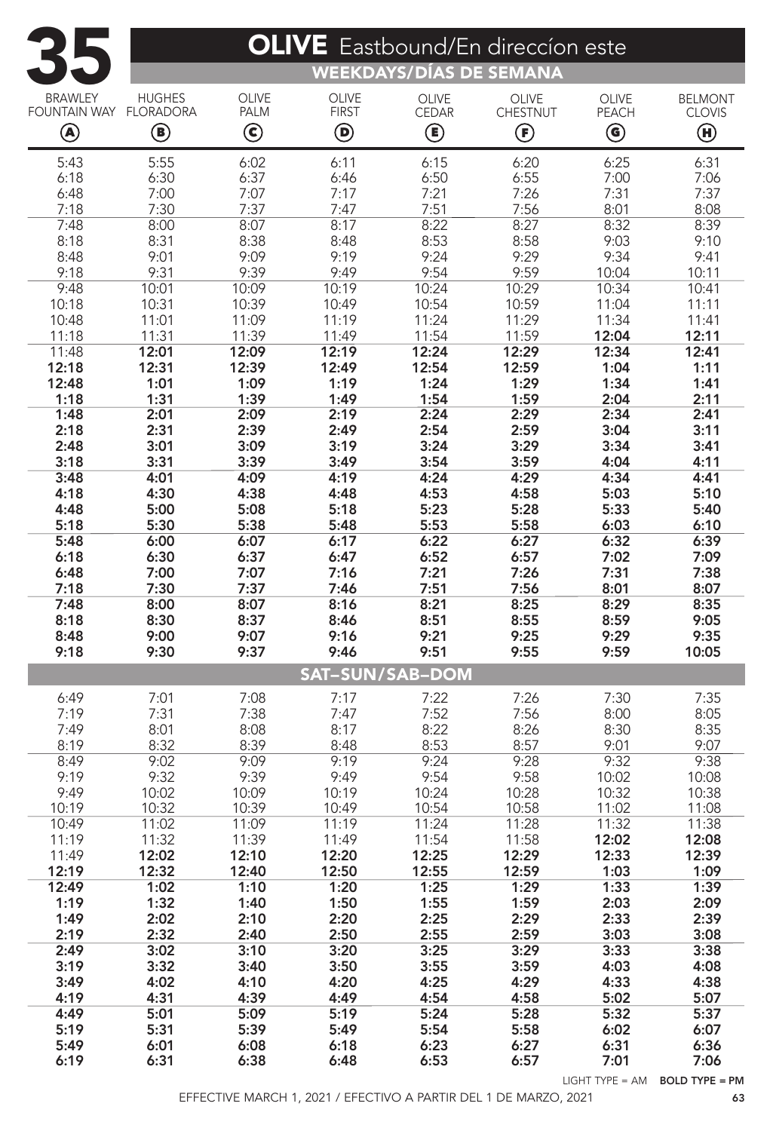| <b>OLIVE</b> Eastbound/En direccion este |                                         |                               |                        |                |                   |                                         |                |  |  |  |  |  |
|------------------------------------------|-----------------------------------------|-------------------------------|------------------------|----------------|-------------------|-----------------------------------------|----------------|--|--|--|--|--|
|                                          | WEEKDAYS/DÍAS DE SEMANA                 |                               |                        |                |                   |                                         |                |  |  |  |  |  |
| <b>BRAWLEY</b>                           | <b>HUGHES</b>                           | <b>OLIVE</b>                  | <b>OLIVE</b>           | <b>OLIVE</b>   | <b>OLIVE</b>      | OLIVE                                   | <b>BELMONT</b> |  |  |  |  |  |
| <b>FOUNTAIN WAY</b>                      | <b>FLORADORA</b>                        | PALM                          | <b>FIRST</b>           | <b>CEDAR</b>   | CHESTNUT          | PEACH                                   | <b>CLOVIS</b>  |  |  |  |  |  |
| $\textcircled{\small{A}}$                | $\textcircled{\scriptsize{\textsf{B}}}$ | $\textcircled{\scriptsize{}}$ | ◉                      | ◉              | $\bm{\mathbb{G}}$ | $\textcircled{\scriptsize{\textbf{6}}}$ | $\bm \Theta$   |  |  |  |  |  |
| 5:43                                     | 5:55                                    | 6:02                          | 6:11                   | 6:15           | 6:20              | 6:25                                    | 6:31           |  |  |  |  |  |
| 6:18<br>6:48                             | 6:30<br>7:00                            | 6:37<br>7:07                  | 6:46<br>7:17           | 6:50<br>7:21   | 6:55<br>7:26      | 7:00<br>7:31                            | 7:06<br>7:37   |  |  |  |  |  |
| 7:18                                     | 7:30                                    | 7:37                          | 7:47                   | 7:51           | 7:56              | 8:01                                    | 8:08           |  |  |  |  |  |
| 7:48                                     | 8:00                                    | 8:07                          | 8:17                   | 8:22           | 8:27              | 8:32                                    | 8:39           |  |  |  |  |  |
| 8:18                                     | 8:31                                    | 8:38                          | 8:48                   | 8:53           | 8:58              | 9:03                                    | 9:10           |  |  |  |  |  |
| 8:48                                     | 9:01                                    | 9:09<br>9:39                  | 9:19                   | 9:24           | 9:29              | 9:34                                    | 9:41           |  |  |  |  |  |
| 9:18<br>9:48                             | 9:31<br>10:01                           | 10:09                         | 9:49<br>10:19          | 9:54<br>10:24  | 9:59<br>10:29     | 10:04<br>10:34                          | 10:11<br>10:41 |  |  |  |  |  |
| 10:18                                    | 10:31                                   | 10:39                         | 10:49                  | 10:54          | 10:59             | 11:04                                   | 11:11          |  |  |  |  |  |
| 10:48                                    | 11:01                                   | 11:09                         | 11:19                  | 11:24          | 11:29             | 11:34                                   | 11:41          |  |  |  |  |  |
| 11:18<br>11:48                           | 11:31<br>12:01                          | 11:39<br>12:09                | 11:49<br>12:19         | 11:54<br>12:24 | 11:59<br>12:29    | 12:04<br>12:34                          | 12:11<br>12:41 |  |  |  |  |  |
| 12:18                                    | 12:31                                   | 12:39                         | 12:49                  | 12:54          | 12:59             | 1:04                                    | 1:11           |  |  |  |  |  |
| 12:48                                    | 1:01                                    | 1:09                          | 1:19                   | 1:24           | 1:29              | 1:34                                    | 1:41           |  |  |  |  |  |
| 1:18                                     | 1:31                                    | 1:39                          | 1:49                   | 1:54           | 1:59              | 2:04                                    | 2:11           |  |  |  |  |  |
| 1:48                                     | 2:01                                    | 2:09                          | 2:19                   | 2:24           | 2:29              | 2:34                                    | 2:41           |  |  |  |  |  |
| 2:18<br>2:48                             | 2:31<br>3:01                            | 2:39<br>3:09                  | 2:49<br>3:19           | 2:54<br>3:24   | 2:59<br>3:29      | 3:04<br>3:34                            | 3:11<br>3:41   |  |  |  |  |  |
| 3:18                                     | 3:31                                    | 3:39                          | 3:49                   | 3:54           | 3:59              | 4:04                                    | 4:11           |  |  |  |  |  |
| 3:48                                     | 4:01                                    | 4:09                          | 4:19                   | 4:24           | 4:29              | 4:34                                    | 4:41           |  |  |  |  |  |
| 4:18                                     | 4:30                                    | 4:38                          | 4:48                   | 4:53           | 4:58              | 5:03                                    | 5:10           |  |  |  |  |  |
| 4:48<br>5:18                             | 5:00<br>5:30                            | 5:08<br>5:38                  | 5:18<br>5:48           | 5:23<br>5:53   | 5:28<br>5:58      | 5:33<br>6:03                            | 5:40<br>6:10   |  |  |  |  |  |
| 5:48                                     | 6:00                                    | 6:07                          | 6:17                   | 6:22           | 6:27              | 6:32                                    | 6:39           |  |  |  |  |  |
| 6:18                                     | 6:30                                    | 6:37                          | 6:47                   | 6:52           | 6:57              | 7:02                                    | 7:09           |  |  |  |  |  |
| 6:48                                     | 7:00                                    | 7:07                          | 7:16                   | 7:21           | 7:26              | 7:31                                    | 7:38           |  |  |  |  |  |
| 7:18<br>7:48                             | 7:30<br>8:00                            | 7:37<br>8:07                  | 7:46<br>8:16           | 7:51<br>8:21   | 7:56<br>8:25      | 8:01<br>8:29                            | 8:07<br>8:35   |  |  |  |  |  |
| 8:18                                     | 8:30                                    | 8:37                          | 8:46                   | 8:51           | 8:55              | 8:59                                    | 9:05           |  |  |  |  |  |
| 8:48                                     | 9:00                                    | 9:07                          | 9:16                   | 9:21           | 9:25              | 9:29                                    | 9:35           |  |  |  |  |  |
| 9:18                                     | 9:30                                    | 9:37                          | 9:46                   | 9:51           | 9:55              | 9:59                                    | 10:05          |  |  |  |  |  |
|                                          |                                         |                               | <b>SAT-SUN/SAB-DOM</b> |                |                   |                                         |                |  |  |  |  |  |
| 6:49                                     | 7:01                                    | 7:08                          | 7:17                   | 7:22           | 7:26              | 7:30                                    | 7:35           |  |  |  |  |  |
| 7:19<br>7:49                             | 7:31<br>8:01                            | 7:38<br>8:08                  | 7:47                   | 7:52<br>8:22   | 7:56<br>8:26      | 8:00                                    | 8:05<br>8:35   |  |  |  |  |  |
| 8:19                                     | 8:32                                    | 8:39                          | 8:17<br>8:48           | 8:53           | 8:57              | 8:30<br>9:01                            | 9:07           |  |  |  |  |  |
| 8:49                                     | 9:02                                    | 9:09                          | 9:19                   | 9:24           | 9:28              | 9:32                                    | 9:38           |  |  |  |  |  |
| 9:19                                     | 9:32                                    | 9:39                          | 9:49                   | 9:54           | 9:58              | 10:02                                   | 10:08          |  |  |  |  |  |
| 9:49                                     | 10:02                                   | 10:09                         | 10:19                  | 10:24          | 10:28             | 10:32                                   | 10:38          |  |  |  |  |  |
| 10:19<br>10:49                           | 10:32<br>11:02                          | 10:39<br>11:09                | 10:49<br>11:19         | 10:54<br>11:24 | 10:58<br>11:28    | 11:02<br>11:32                          | 11:08<br>11:38 |  |  |  |  |  |
| 11:19                                    | 11:32                                   | 11:39                         | 11:49                  | 11:54          | 11:58             | 12:02                                   | 12:08          |  |  |  |  |  |
| 11:49                                    | 12:02                                   | 12:10                         | 12:20                  | 12:25          | 12:29             | 12:33                                   | 12:39          |  |  |  |  |  |
| 12:19                                    | 12:32                                   | 12:40                         | 12:50                  | 12:55          | 12:59             | 1:03                                    | 1:09           |  |  |  |  |  |
| 12:49<br>1:19                            | 1:02<br>1:32                            | 1:10<br>1:40                  | 1:20<br>1:50           | 1:25<br>1:55   | 1:29<br>1:59      | 1:33<br>2:03                            | 1:39<br>2:09   |  |  |  |  |  |
| 1:49                                     | 2:02                                    | 2:10                          | 2:20                   | 2:25           | 2:29              | 2:33                                    | 2:39           |  |  |  |  |  |
| 2:19                                     | 2:32                                    | 2:40                          | 2:50                   | 2:55           | 2:59              | 3:03                                    | 3:08           |  |  |  |  |  |
| 2:49                                     | 3:02                                    | 3:10                          | 3:20                   | 3:25           | 3:29              | 3:33                                    | 3:38           |  |  |  |  |  |
| 3:19<br>3:49                             | 3:32<br>4:02                            | 3:40<br>4:10                  | 3:50<br>4:20           | 3:55<br>4:25   | 3:59<br>4:29      | 4:03<br>4:33                            | 4:08<br>4:38   |  |  |  |  |  |
| 4:19                                     | 4:31                                    | 4:39                          | 4:49                   | 4:54           | 4:58              | 5:02                                    | 5:07           |  |  |  |  |  |
| 4:49                                     | 5:01                                    | 5:09                          | 5:19                   | 5:24           | 5:28              | 5:32                                    | 5:37           |  |  |  |  |  |
| 5:19                                     | 5:31                                    | 5:39                          | 5:49                   | 5:54           | 5:58              | 6:02                                    | 6:07           |  |  |  |  |  |
| 5:49<br>6:19                             | 6:01<br>6:31                            | 6:08<br>6:38                  | 6:18<br>6:48           | 6:23<br>6:53   | 6:27<br>6:57      | 6:31<br>7:01                            | 6:36<br>7:06   |  |  |  |  |  |
|                                          |                                         |                               |                        |                |                   |                                         |                |  |  |  |  |  |